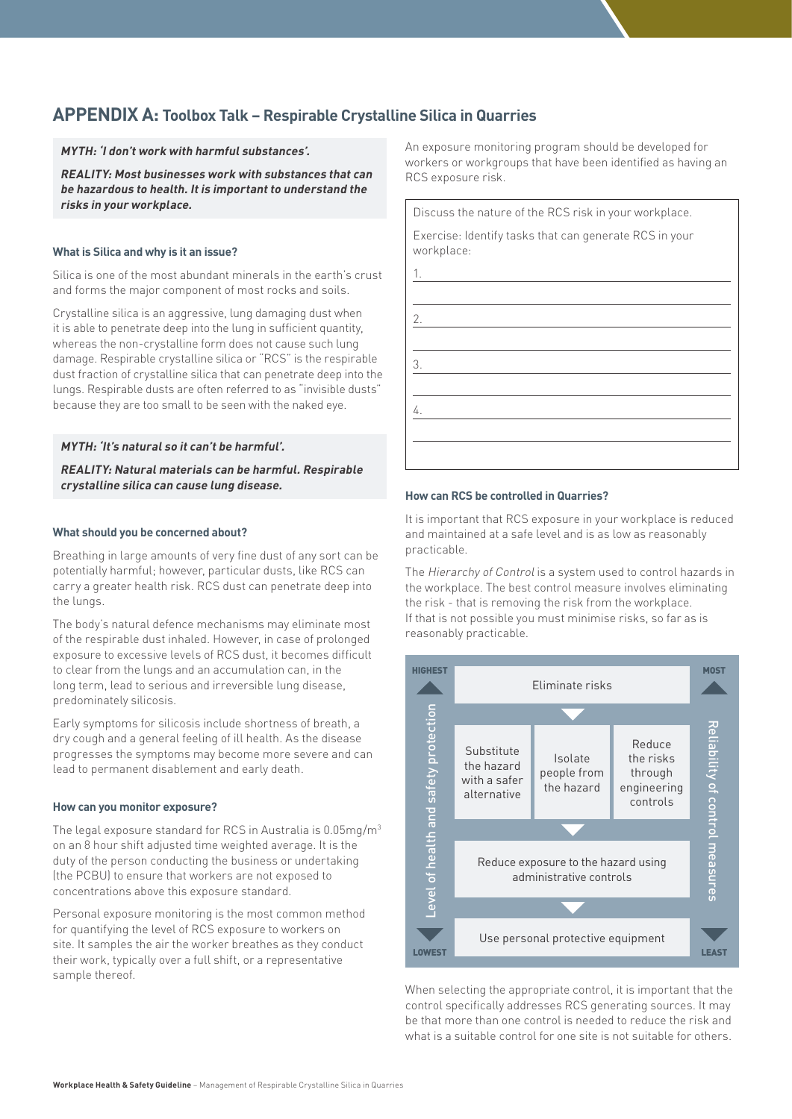# **APPENDIX A: Toolbox Talk – Respirable Crystalline Silica in Quarries**

**MYTH: 'I don't work with harmful substances'.**

**REALITY: Most businesses work with substances that can be hazardous to health. It is important to understand the risks in your workplace.**

#### **What is Silica and why is it an issue?**

Silica is one of the most abundant minerals in the earth's crust and forms the major component of most rocks and soils.

Crystalline silica is an aggressive, lung damaging dust when it is able to penetrate deep into the lung in sufficient quantity, whereas the non-crystalline form does not cause such lung damage. Respirable crystalline silica or "RCS" is the respirable dust fraction of crystalline silica that can penetrate deep into the lungs. Respirable dusts are often referred to as "invisible dusts" because they are too small to be seen with the naked eye.

**MYTH: 'It's natural so it can't be harmful'.**

**REALITY: Natural materials can be harmful. Respirable crystalline silica can cause lung disease.**

#### **What should you be concerned about?**

Breathing in large amounts of very fine dust of any sort can be potentially harmful; however, particular dusts, like RCS can carry a greater health risk. RCS dust can penetrate deep into the lungs.

The body's natural defence mechanisms may eliminate most of the respirable dust inhaled. However, in case of prolonged exposure to excessive levels of RCS dust, it becomes difficult to clear from the lungs and an accumulation can, in the long term, lead to serious and irreversible lung disease, predominately silicosis.

Early symptoms for silicosis include shortness of breath, a dry cough and a general feeling of ill health. As the disease progresses the symptoms may become more severe and can lead to permanent disablement and early death.

### **How can you monitor exposure?**

The legal exposure standard for RCS in Australia is 0.05mg/m3 on an 8 hour shift adjusted time weighted average. It is the duty of the person conducting the business or undertaking (the PCBU) to ensure that workers are not exposed to concentrations above this exposure standard.

Personal exposure monitoring is the most common method for quantifying the level of RCS exposure to workers on site. It samples the air the worker breathes as they conduct their work, typically over a full shift, or a representative sample thereof.

An exposure monitoring program should be developed for workers or workgroups that have been identified as having an RCS exposure risk.

Discuss the nature of the RCS risk in your workplace. Exercise: Identify tasks that can generate RCS in your workplace: 1.

#### **How can RCS be controlled in Quarries?**

2.

3.

4.

It is important that RCS exposure in your workplace is reduced and maintained at a safe level and is as low as reasonably practicable.

The Hierarchy of Control is a system used to control hazards in the workplace. The best control measure involves eliminating the risk - that is removing the risk from the workplace. If that is not possible you must minimise risks, so far as is reasonably practicable.



When selecting the appropriate control, it is important that the control specifically addresses RCS generating sources. It may be that more than one control is needed to reduce the risk and what is a suitable control for one site is not suitable for others.